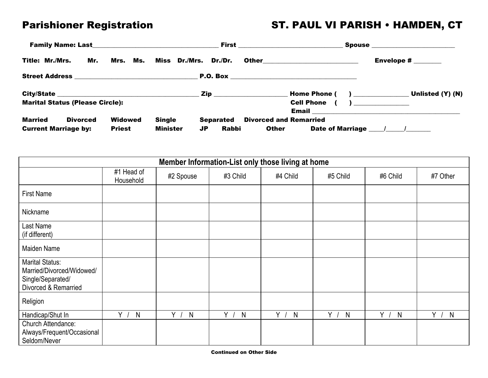## Parishioner Registration **ST. PAUL VI PARISH • HAMDEN, CT**

|                             |                                        |               |               |                                | <b>First</b> __________________________________ |                                 | <b>Spouse _________________________</b>  |
|-----------------------------|----------------------------------------|---------------|---------------|--------------------------------|-------------------------------------------------|---------------------------------|------------------------------------------|
| <b>Title: Mr./Mrs.</b>      | Mr.                                    |               |               | Mrs. Ms. Miss Dr./Mrs. Dr./Dr. |                                                 | Other__________________________ | Envelope $\sharp$ _______                |
|                             |                                        |               |               |                                |                                                 |                                 |                                          |
|                             |                                        |               |               |                                |                                                 |                                 | Unlisted (Y) (N)                         |
|                             | <b>Marital Status (Please Circle):</b> |               |               |                                |                                                 | <b>Cell Phone</b>               | $\sum_{i=1}^{n}$                         |
| Married                     | <b>Divorced</b>                        | Widowed       | <b>Single</b> | <b>Separated</b>               | <b>Divorced and Remarried</b>                   |                                 |                                          |
| <b>Current Marriage by:</b> |                                        | <b>Priest</b> | Minister      | Rabbi<br>JP                    | <b>Other</b>                                    |                                 | Date of Marriage <u>Janual Alexander</u> |

| Member Information-List only those living at home                                                |                         |                   |          |                   |          |            |          |
|--------------------------------------------------------------------------------------------------|-------------------------|-------------------|----------|-------------------|----------|------------|----------|
|                                                                                                  | #1 Head of<br>Household | #2 Spouse         | #3 Child | #4 Child          | #5 Child | #6 Child   | #7 Other |
| <b>First Name</b>                                                                                |                         |                   |          |                   |          |            |          |
| Nickname                                                                                         |                         |                   |          |                   |          |            |          |
| Last Name<br>(if different)                                                                      |                         |                   |          |                   |          |            |          |
| Maiden Name                                                                                      |                         |                   |          |                   |          |            |          |
| <b>Marital Status:</b><br>Married/Divorced/Widowed/<br>Single/Separated/<br>Divorced & Remarried |                         |                   |          |                   |          |            |          |
| Religion                                                                                         |                         |                   |          |                   |          |            |          |
| Handicap/Shut In                                                                                 | v.<br>N                 | v<br>$\mathsf{N}$ | Y.<br>N  | v<br>$\mathsf{N}$ | Y<br>N   | $Y$ /<br>N | Y<br>N   |
| Church Attendance:<br>Always/Frequent/Occasional<br>Seldom/Never                                 |                         |                   |          |                   |          |            |          |